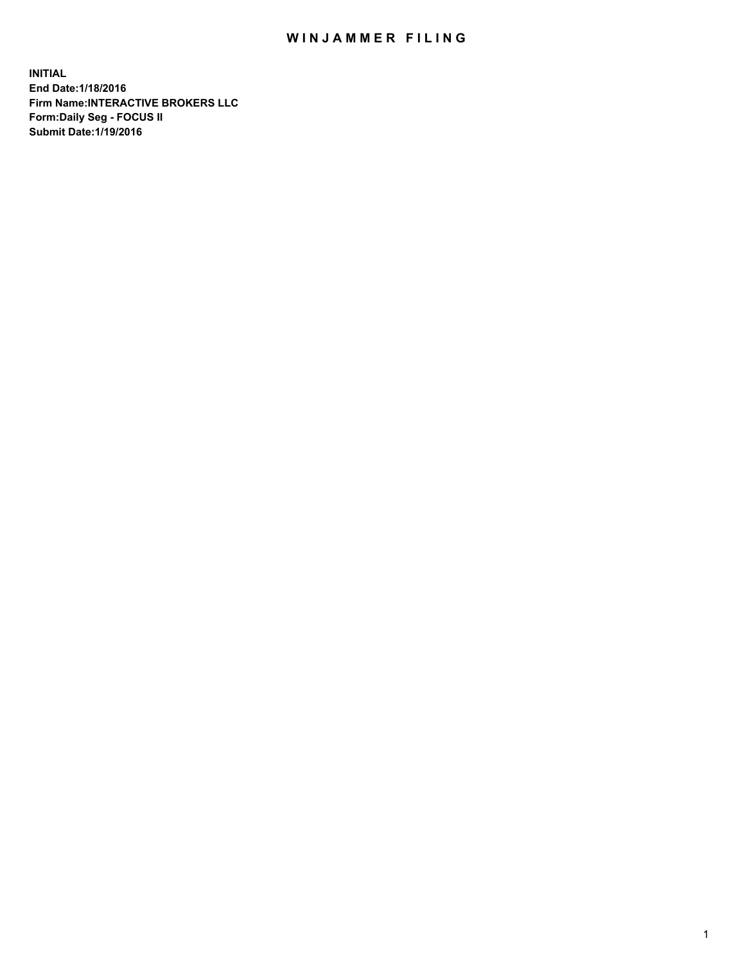## WIN JAMMER FILING

**INITIAL End Date:1/18/2016 Firm Name:INTERACTIVE BROKERS LLC Form:Daily Seg - FOCUS II Submit Date:1/19/2016**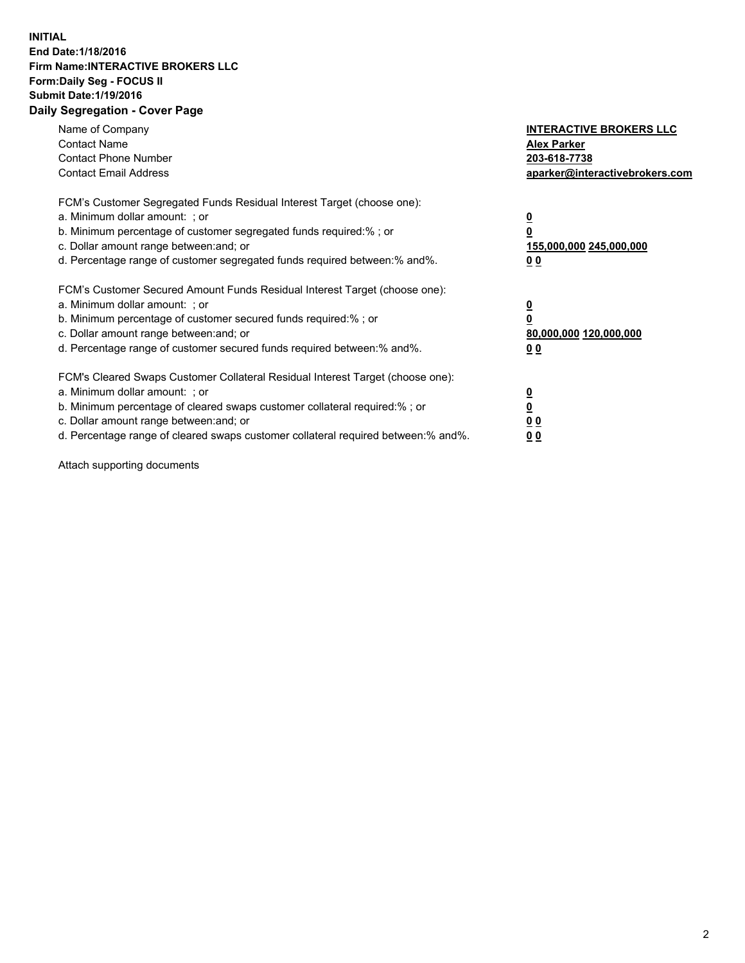## **INITIAL End Date:1/18/2016 Firm Name:INTERACTIVE BROKERS LLC Form:Daily Seg - FOCUS II Submit Date:1/19/2016 Daily Segregation - Cover Page**

| Name of Company<br><b>Contact Name</b><br><b>Contact Phone Number</b><br><b>Contact Email Address</b>                                                                                                                                                                                                                         | <b>INTERACTIVE BROKERS LLC</b><br><b>Alex Parker</b><br>203-618-7738<br>aparker@interactivebrokers.com |
|-------------------------------------------------------------------------------------------------------------------------------------------------------------------------------------------------------------------------------------------------------------------------------------------------------------------------------|--------------------------------------------------------------------------------------------------------|
| FCM's Customer Segregated Funds Residual Interest Target (choose one):<br>a. Minimum dollar amount: ; or<br>b. Minimum percentage of customer segregated funds required:% ; or<br>c. Dollar amount range between: and; or<br>d. Percentage range of customer segregated funds required between:% and%.                        | <u>0</u><br>155,000,000 245,000,000<br>0 <sub>0</sub>                                                  |
| FCM's Customer Secured Amount Funds Residual Interest Target (choose one):<br>a. Minimum dollar amount: ; or<br>b. Minimum percentage of customer secured funds required:%; or<br>c. Dollar amount range between: and; or<br>d. Percentage range of customer secured funds required between: % and %.                         | <u>0</u><br>80,000,000 120,000,000<br><u>00</u>                                                        |
| FCM's Cleared Swaps Customer Collateral Residual Interest Target (choose one):<br>a. Minimum dollar amount: ; or<br>b. Minimum percentage of cleared swaps customer collateral required:%; or<br>c. Dollar amount range between: and; or<br>d. Percentage range of cleared swaps customer collateral required between:% and%. | <u>0</u><br>0 <sub>0</sub><br>0 <sub>0</sub>                                                           |

Attach supporting documents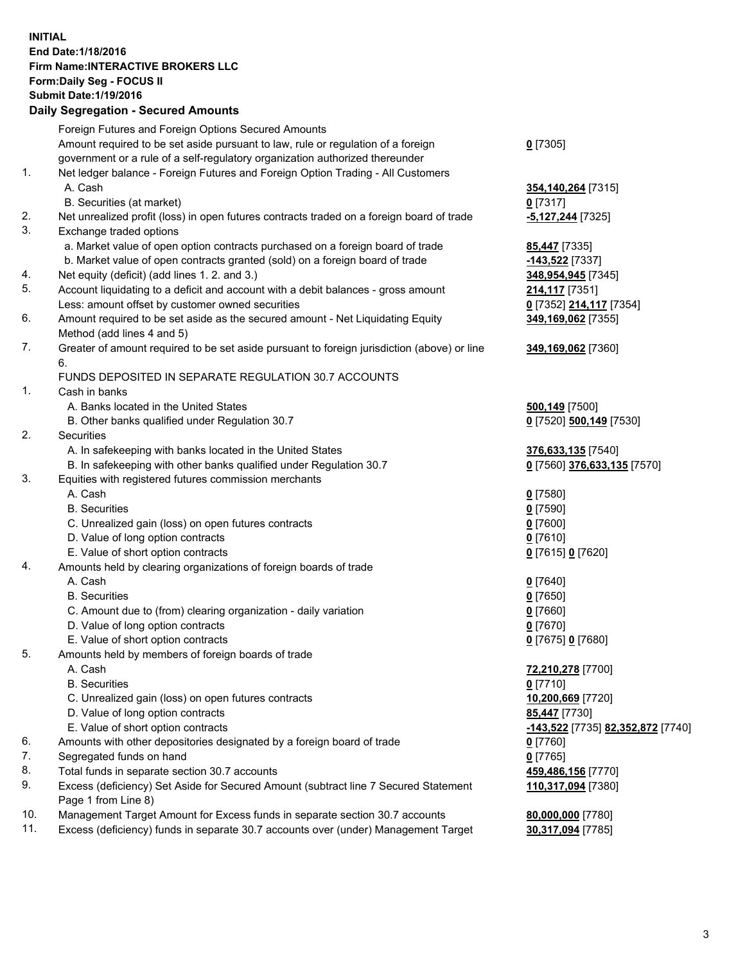## **INITIAL End Date:1/18/2016 Firm Name:INTERACTIVE BROKERS LLC Form:Daily Seg - FOCUS II Submit Date:1/19/2016 Daily Segregation - Secured Amounts**

|     | Dany Ocgregation - Oceanea Annoanta                                                         |                                   |
|-----|---------------------------------------------------------------------------------------------|-----------------------------------|
|     | Foreign Futures and Foreign Options Secured Amounts                                         |                                   |
|     | Amount required to be set aside pursuant to law, rule or regulation of a foreign            | $0$ [7305]                        |
|     | government or a rule of a self-regulatory organization authorized thereunder                |                                   |
| 1.  | Net ledger balance - Foreign Futures and Foreign Option Trading - All Customers             |                                   |
|     | A. Cash                                                                                     | 354, 140, 264 [7315]              |
|     | B. Securities (at market)                                                                   | $0$ [7317]                        |
| 2.  | Net unrealized profit (loss) in open futures contracts traded on a foreign board of trade   | -5,127,244 [7325]                 |
| 3.  | Exchange traded options                                                                     |                                   |
|     | a. Market value of open option contracts purchased on a foreign board of trade              | <b>85,447</b> [7335]              |
|     | b. Market value of open contracts granted (sold) on a foreign board of trade                | -143,522 <sup>[7337]</sup>        |
| 4.  | Net equity (deficit) (add lines 1.2. and 3.)                                                | 348,954,945 [7345]                |
| 5.  | Account liquidating to a deficit and account with a debit balances - gross amount           | 214,117 [7351]                    |
|     | Less: amount offset by customer owned securities                                            | 0 [7352] 214,117 [7354]           |
| 6.  | Amount required to be set aside as the secured amount - Net Liquidating Equity              | 349,169,062 [7355]                |
|     | Method (add lines 4 and 5)                                                                  |                                   |
| 7.  | Greater of amount required to be set aside pursuant to foreign jurisdiction (above) or line | 349,169,062 [7360]                |
|     | 6.                                                                                          |                                   |
|     | FUNDS DEPOSITED IN SEPARATE REGULATION 30.7 ACCOUNTS                                        |                                   |
| 1.  | Cash in banks                                                                               |                                   |
|     | A. Banks located in the United States                                                       | 500,149 [7500]                    |
|     | B. Other banks qualified under Regulation 30.7                                              | 0 [7520] 500,149 [7530]           |
| 2.  | Securities                                                                                  |                                   |
|     | A. In safekeeping with banks located in the United States                                   | 376,633,135 [7540]                |
|     | B. In safekeeping with other banks qualified under Regulation 30.7                          | 0 [7560] 376,633,135 [7570]       |
| 3.  | Equities with registered futures commission merchants                                       |                                   |
|     | A. Cash                                                                                     | $0$ [7580]                        |
|     | <b>B.</b> Securities                                                                        | $0$ [7590]                        |
|     | C. Unrealized gain (loss) on open futures contracts                                         | $0$ [7600]                        |
|     | D. Value of long option contracts                                                           | $0$ [7610]                        |
|     | E. Value of short option contracts                                                          | 0 [7615] 0 [7620]                 |
| 4.  | Amounts held by clearing organizations of foreign boards of trade                           |                                   |
|     | A. Cash                                                                                     | $0$ [7640]                        |
|     | <b>B.</b> Securities                                                                        | $0$ [7650]                        |
|     | C. Amount due to (from) clearing organization - daily variation                             | $0$ [7660]                        |
|     | D. Value of long option contracts                                                           | $0$ [7670]                        |
|     | E. Value of short option contracts                                                          | 0 [7675] 0 [7680]                 |
| 5.  | Amounts held by members of foreign boards of trade                                          |                                   |
|     | A. Cash                                                                                     | 72,210,278 [7700]                 |
|     | <b>B.</b> Securities                                                                        | $0$ [7710]                        |
|     | C. Unrealized gain (loss) on open futures contracts                                         | 10,200,669 [7720]                 |
|     | D. Value of long option contracts                                                           | <b>85,447</b> [7730]              |
|     | E. Value of short option contracts                                                          | -143,522 [7735] 82,352,872 [7740] |
| 6.  | Amounts with other depositories designated by a foreign board of trade                      | 0 [7760]                          |
| 7.  | Segregated funds on hand                                                                    | $0$ [7765]                        |
| 8.  | Total funds in separate section 30.7 accounts                                               | 459,486,156 [7770]                |
| 9.  | Excess (deficiency) Set Aside for Secured Amount (subtract line 7 Secured Statement         | 110,317,094 [7380]                |
|     | Page 1 from Line 8)                                                                         |                                   |
| 10. | Management Target Amount for Excess funds in separate section 30.7 accounts                 | 80,000,000 [7780]                 |
| 11. | Excess (deficiency) funds in separate 30.7 accounts over (under) Management Target          | 30,317,094 [7785]                 |
|     |                                                                                             |                                   |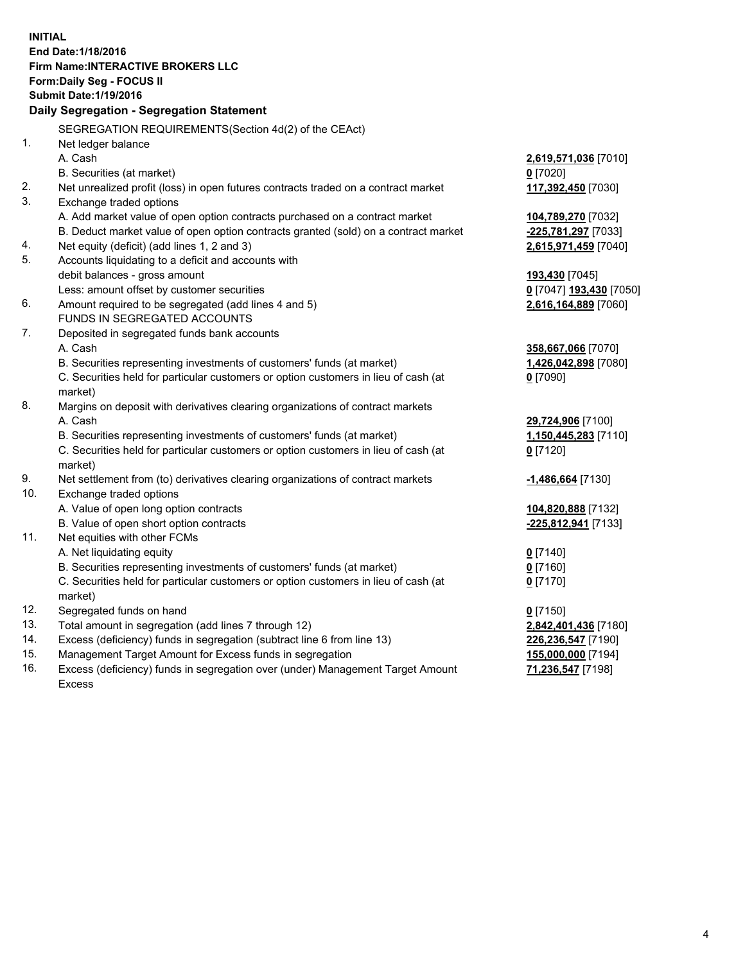**INITIAL End Date:1/18/2016 Firm Name:INTERACTIVE BROKERS LLC Form:Daily Seg - FOCUS II Submit Date:1/19/2016 Daily Segregation - Segregation Statement** SEGREGATION REQUIREMENTS(Section 4d(2) of the CEAct) 1. Net ledger balance A. Cash **2,619,571,036** [7010] B. Securities (at market) **0** [7020] 2. Net unrealized profit (loss) in open futures contracts traded on a contract market **117,392,450** [7030] 3. Exchange traded options A. Add market value of open option contracts purchased on a contract market **104,789,270** [7032] B. Deduct market value of open option contracts granted (sold) on a contract market **-225,781,297** [7033] 4. Net equity (deficit) (add lines 1, 2 and 3) **2,615,971,459** [7040] 5. Accounts liquidating to a deficit and accounts with debit balances - gross amount **193,430** [7045] Less: amount offset by customer securities **0** [7047] **193,430** [7050] 6. Amount required to be segregated (add lines 4 and 5) **2,616,164,889** [7060] FUNDS IN SEGREGATED ACCOUNTS 7. Deposited in segregated funds bank accounts A. Cash **358,667,066** [7070] B. Securities representing investments of customers' funds (at market) **1,426,042,898** [7080] C. Securities held for particular customers or option customers in lieu of cash (at market) **0** [7090] 8. Margins on deposit with derivatives clearing organizations of contract markets A. Cash **29,724,906** [7100] B. Securities representing investments of customers' funds (at market) **1,150,445,283** [7110] C. Securities held for particular customers or option customers in lieu of cash (at market) **0** [7120] 9. Net settlement from (to) derivatives clearing organizations of contract markets **-1,486,664** [7130] 10. Exchange traded options A. Value of open long option contracts **104,820,888** [7132] B. Value of open short option contracts **-225,812,941** [7133] 11. Net equities with other FCMs A. Net liquidating equity **0** [7140] B. Securities representing investments of customers' funds (at market) **0** [7160] C. Securities held for particular customers or option customers in lieu of cash (at market) **0** [7170] 12. Segregated funds on hand **0** [7150] 13. Total amount in segregation (add lines 7 through 12) **2,842,401,436** [7180] 14. Excess (deficiency) funds in segregation (subtract line 6 from line 13) **226,236,547** [7190] 15. Management Target Amount for Excess funds in segregation **155,000,000** [7194]

16. Excess (deficiency) funds in segregation over (under) Management Target Amount Excess

**71,236,547** [7198]